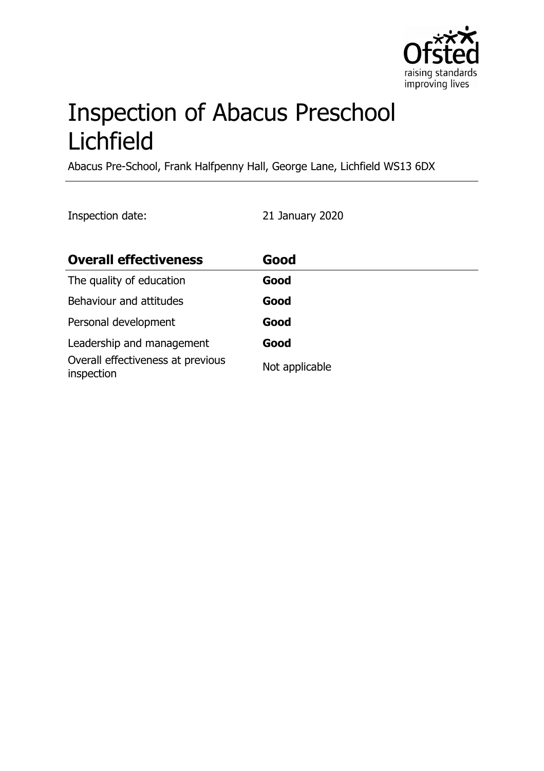

# Inspection of Abacus Preschool Lichfield

Abacus Pre-School, Frank Halfpenny Hall, George Lane, Lichfield WS13 6DX

Inspection date: 21 January 2020

| <b>Overall effectiveness</b>                    | Good           |
|-------------------------------------------------|----------------|
| The quality of education                        | Good           |
| Behaviour and attitudes                         | Good           |
| Personal development                            | Good           |
| Leadership and management                       | Good           |
| Overall effectiveness at previous<br>inspection | Not applicable |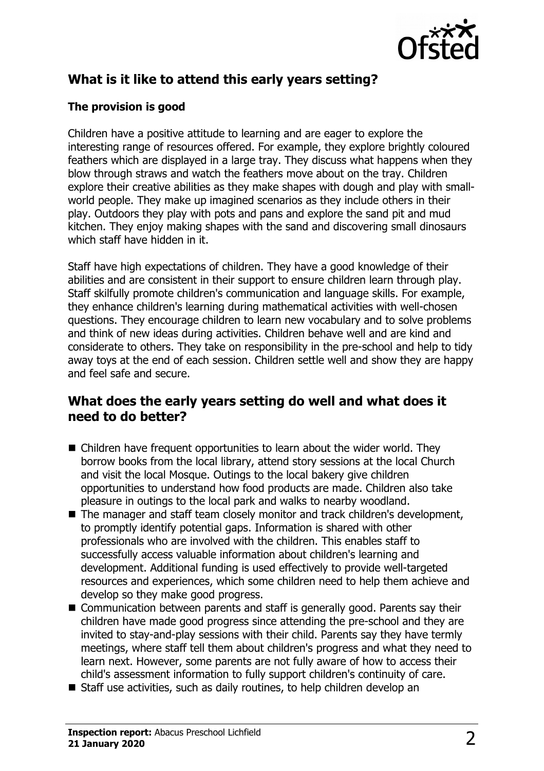

## **What is it like to attend this early years setting?**

### **The provision is good**

Children have a positive attitude to learning and are eager to explore the interesting range of resources offered. For example, they explore brightly coloured feathers which are displayed in a large tray. They discuss what happens when they blow through straws and watch the feathers move about on the tray. Children explore their creative abilities as they make shapes with dough and play with smallworld people. They make up imagined scenarios as they include others in their play. Outdoors they play with pots and pans and explore the sand pit and mud kitchen. They enjoy making shapes with the sand and discovering small dinosaurs which staff have hidden in it.

Staff have high expectations of children. They have a good knowledge of their abilities and are consistent in their support to ensure children learn through play. Staff skilfully promote children's communication and language skills. For example, they enhance children's learning during mathematical activities with well-chosen questions. They encourage children to learn new vocabulary and to solve problems and think of new ideas during activities. Children behave well and are kind and considerate to others. They take on responsibility in the pre-school and help to tidy away toys at the end of each session. Children settle well and show they are happy and feel safe and secure.

## **What does the early years setting do well and what does it need to do better?**

- $\blacksquare$  Children have frequent opportunities to learn about the wider world. They borrow books from the local library, attend story sessions at the local Church and visit the local Mosque. Outings to the local bakery give children opportunities to understand how food products are made. Children also take pleasure in outings to the local park and walks to nearby woodland.
- $\blacksquare$  The manager and staff team closely monitor and track children's development, to promptly identify potential gaps. Information is shared with other professionals who are involved with the children. This enables staff to successfully access valuable information about children's learning and development. Additional funding is used effectively to provide well-targeted resources and experiences, which some children need to help them achieve and develop so they make good progress.
- Communication between parents and staff is generally good. Parents say their children have made good progress since attending the pre-school and they are invited to stay-and-play sessions with their child. Parents say they have termly meetings, where staff tell them about children's progress and what they need to learn next. However, some parents are not fully aware of how to access their child's assessment information to fully support children's continuity of care.
- $\blacksquare$  Staff use activities, such as daily routines, to help children develop an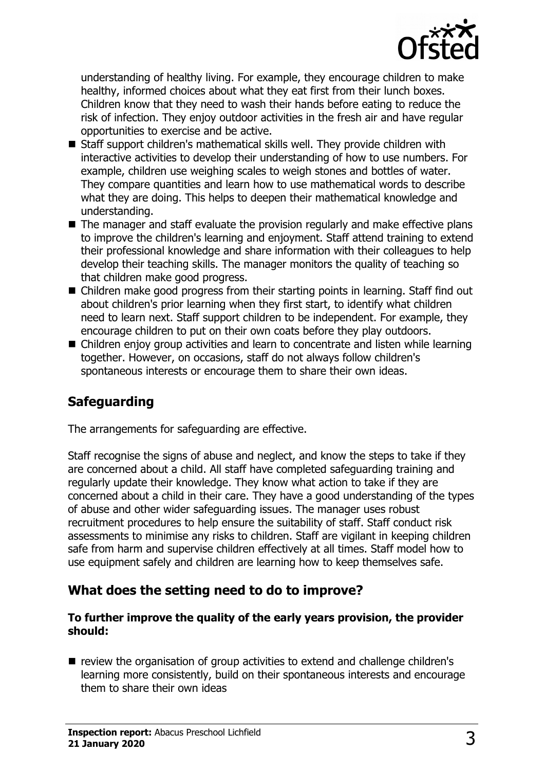

understanding of healthy living. For example, they encourage children to make healthy, informed choices about what they eat first from their lunch boxes. Children know that they need to wash their hands before eating to reduce the risk of infection. They enjoy outdoor activities in the fresh air and have regular opportunities to exercise and be active.

- Staff support children's mathematical skills well. They provide children with interactive activities to develop their understanding of how to use numbers. For example, children use weighing scales to weigh stones and bottles of water. They compare quantities and learn how to use mathematical words to describe what they are doing. This helps to deepen their mathematical knowledge and understanding.
- $\blacksquare$  The manager and staff evaluate the provision regularly and make effective plans to improve the children's learning and enjoyment. Staff attend training to extend their professional knowledge and share information with their colleagues to help develop their teaching skills. The manager monitors the quality of teaching so that children make good progress.
- $\blacksquare$  Children make good progress from their starting points in learning. Staff find out about children's prior learning when they first start, to identify what children need to learn next. Staff support children to be independent. For example, they encourage children to put on their own coats before they play outdoors.
- $\blacksquare$  Children enjov group activities and learn to concentrate and listen while learning together. However, on occasions, staff do not always follow children's spontaneous interests or encourage them to share their own ideas.

## **Safeguarding**

The arrangements for safeguarding are effective.

Staff recognise the signs of abuse and neglect, and know the steps to take if they are concerned about a child. All staff have completed safeguarding training and regularly update their knowledge. They know what action to take if they are concerned about a child in their care. They have a good understanding of the types of abuse and other wider safeguarding issues. The manager uses robust recruitment procedures to help ensure the suitability of staff. Staff conduct risk assessments to minimise any risks to children. Staff are vigilant in keeping children safe from harm and supervise children effectively at all times. Staff model how to use equipment safely and children are learning how to keep themselves safe.

## **What does the setting need to do to improve?**

#### **To further improve the quality of the early years provision, the provider should:**

 $\blacksquare$  review the organisation of group activities to extend and challenge children's learning more consistently, build on their spontaneous interests and encourage them to share their own ideas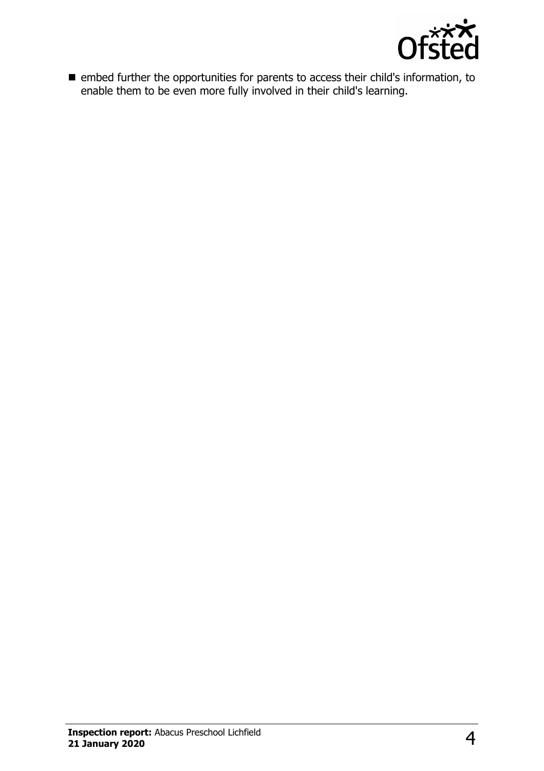

 $\blacksquare$  embed further the opportunities for parents to access their child's information, to enable them to be even more fully involved in their child's learning.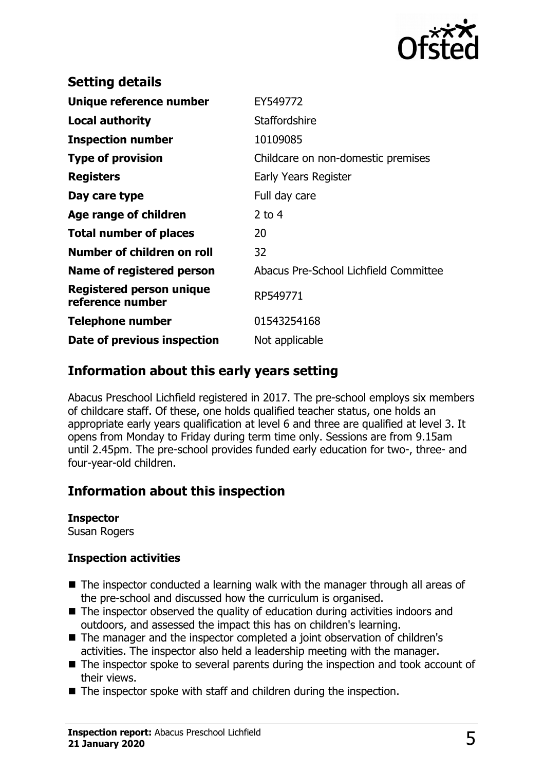

| Childcare on non-domestic premises    |
|---------------------------------------|
|                                       |
|                                       |
|                                       |
|                                       |
|                                       |
|                                       |
|                                       |
|                                       |
|                                       |
| Abacus Pre-School Lichfield Committee |
|                                       |
|                                       |
|                                       |
|                                       |

## **Information about this early years setting**

Abacus Preschool Lichfield registered in 2017. The pre-school employs six members of childcare staff. Of these, one holds qualified teacher status, one holds an appropriate early years qualification at level 6 and three are qualified at level 3. It opens from Monday to Friday during term time only. Sessions are from 9.15am until 2.45pm. The pre-school provides funded early education for two-, three- and four-year-old children.

## **Information about this inspection**

#### **Inspector**

Susan Rogers

#### **Inspection activities**

- $\blacksquare$  The inspector conducted a learning walk with the manager through all areas of the pre-school and discussed how the curriculum is organised.
- $\blacksquare$  The inspector observed the quality of education during activities indoors and outdoors, and assessed the impact this has on children's learning.
- The manager and the inspector completed a joint observation of children's activities. The inspector also held a leadership meeting with the manager.
- $\blacksquare$  The inspector spoke to several parents during the inspection and took account of their views.
- $\blacksquare$  The inspector spoke with staff and children during the inspection.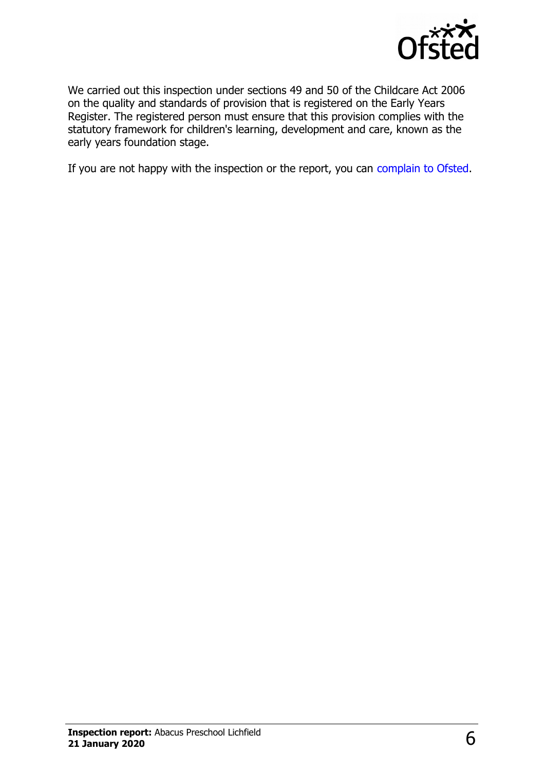

We carried out this inspection under sections 49 and 50 of the Childcare Act 2006 on the quality and standards of provision that is registered on the Early Years Register. The registered person must ensure that this provision complies with the statutory framework for children's learning, development and care, known as the early years foundation stage.

If you are not happy with the inspection or the report, you can [complain to Ofsted.](http://www.gov.uk/complain-ofsted-report)